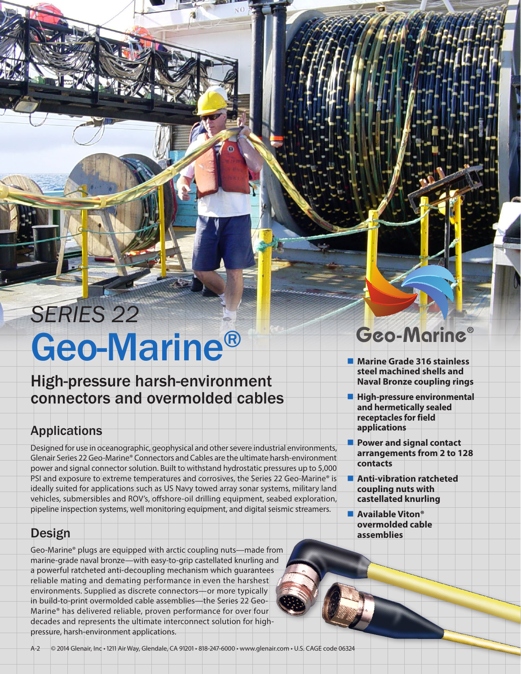# Geo-Marine® *SERIES 22*

### High-pressure harsh-environment connectors and overmolded cables

### Applications

Designed for use in oceanographic, geophysical and other severe industrial environments, Glenair Series 22 Geo-Marine® Connectors and Cables are the ultimate harsh-environment power and signal connector solution. Built to withstand hydrostatic pressures up to 5,000 PSI and exposure to extreme temperatures and corrosives, the Series 22 Geo-Marine® is ideally suited for applications such as US Navy towed array sonar systems, military land vehicles, submersibles and ROV's, offshore-oil drilling equipment, seabed exploration, pipeline inspection systems, well monitoring equipment, and digital seismic streamers.

### **Design**

Geo-Marine® plugs are equipped with arctic coupling nuts—made from marine-grade naval bronze—with easy-to-grip castellated knurling and a powerful ratcheted anti-decoupling mechanism which guarantees reliable mating and demating performance in even the harshest environments. Supplied as discrete connectors—or more typically in build-to-print overmolded cable assemblies—the Series 22 Geo-Marine® has delivered reliable, proven performance for over four decades and represents the ultimate interconnect solution for highpressure, harsh-environment applications.

# Geo-Marine®

- **Marine Grade 316 stainless steel machined shells and Naval Bronze coupling rings**
- **High-pressure environmental and hermetically sealed receptacles for field applications**
- **Power and signal contact arrangements from 2 to 128 contacts**
- **Anti-vibration ratcheted coupling nuts with castellated knurling**
- **Available Viton® overmolded cable assemblies**

A-2 © 2014 Glenair, Inc • 1211 Air Way, Glendale, CA 91201 • 818-247-6000 • www.glenair.com • U.S. CAGE code 06324